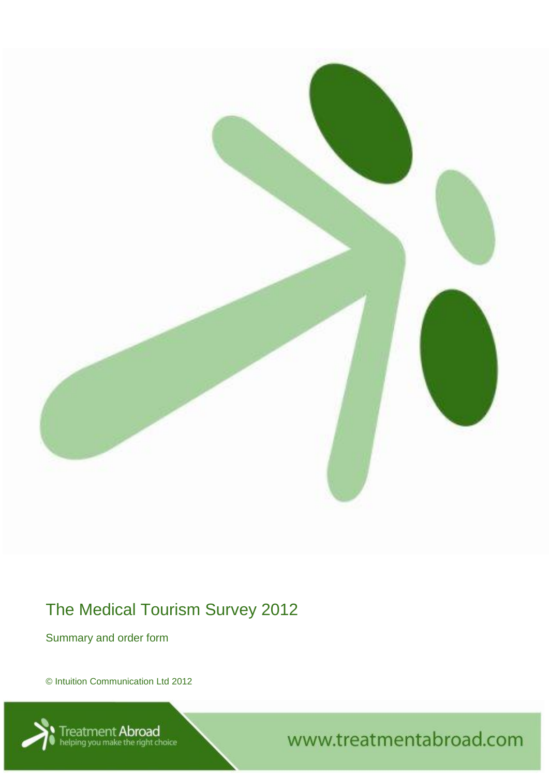

# The Medical Tourism Survey 2012

Summary and order form

© Intuition Communication Ltd 2012



atment Abroad<br>Ing you make the right choice **New Your AL COM COM MEAN** WWW.treatmentabroad.com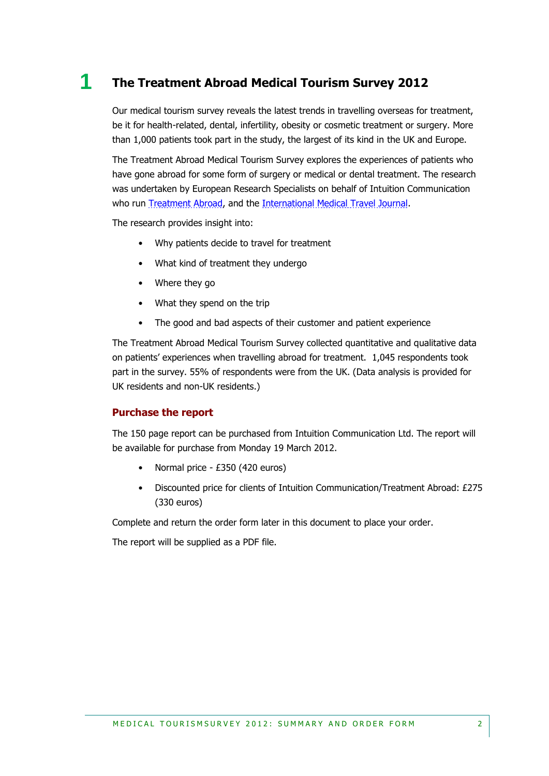### **1 The Treatment Abroad Medical Tourism Survey 2012**

Our medical tourism survey reveals the latest trends in travelling overseas for treatment, be it for health-related, dental, infertility, obesity or cosmetic treatment or surgery. More than 1,000 patients took part in the study, the largest of its kind in the UK and Europe.

The Treatment Abroad Medical Tourism Survey explores the experiences of patients who have gone abroad for some form of surgery or medical or dental treatment. The research was undertaken by European Research Specialists on behalf of Intuition Communication who run [Treatment Abroad,](http://www.treatmentabroad.com/) and the [International Medical Travel Journal.](http://www.imtj.com/)

The research provides insight into:

- Why patients decide to travel for treatment
- What kind of treatment they undergo
- Where they go
- What they spend on the trip
- The good and bad aspects of their customer and patient experience

The Treatment Abroad Medical Tourism Survey collected quantitative and qualitative data on patients' experiences when travelling abroad for treatment. 1,045 respondents took part in the survey. 55% of respondents were from the UK. (Data analysis is provided for UK residents and non-UK residents.)

#### **Purchase the report**

The 150 page report can be purchased from Intuition Communication Ltd. The report will be available for purchase from Monday 19 March 2012.

- Normal price £350 (420 euros)
- Discounted price for clients of Intuition Communication/Treatment Abroad: £275 (330 euros)

Complete and return the order form later in this document to place your order.

The report will be supplied as a PDF file.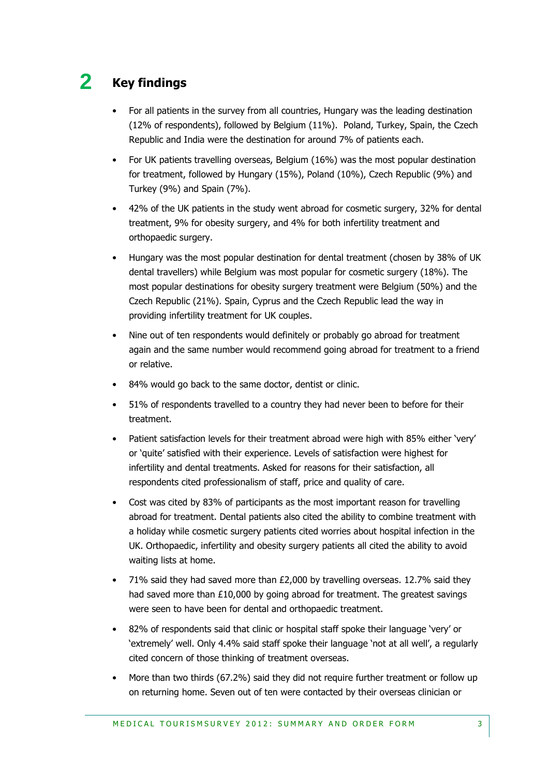### **2 Key findings**

- For all patients in the survey from all countries, Hungary was the leading destination (12% of respondents), followed by Belgium (11%). Poland, Turkey, Spain, the Czech Republic and India were the destination for around 7% of patients each.
- For UK patients travelling overseas, Belgium (16%) was the most popular destination for treatment, followed by Hungary (15%), Poland (10%), Czech Republic (9%) and Turkey (9%) and Spain (7%).
- 42% of the UK patients in the study went abroad for cosmetic surgery, 32% for dental treatment, 9% for obesity surgery, and 4% for both infertility treatment and orthopaedic surgery.
- Hungary was the most popular destination for dental treatment (chosen by 38% of UK dental travellers) while Belgium was most popular for cosmetic surgery (18%). The most popular destinations for obesity surgery treatment were Belgium (50%) and the Czech Republic (21%). Spain, Cyprus and the Czech Republic lead the way in providing infertility treatment for UK couples.
- Nine out of ten respondents would definitely or probably go abroad for treatment again and the same number would recommend going abroad for treatment to a friend or relative.
- 84% would go back to the same doctor, dentist or clinic.
- 51% of respondents travelled to a country they had never been to before for their treatment.
- Patient satisfaction levels for their treatment abroad were high with 85% either 'very' or 'quite' satisfied with their experience. Levels of satisfaction were highest for infertility and dental treatments. Asked for reasons for their satisfaction, all respondents cited professionalism of staff, price and quality of care.
- Cost was cited by 83% of participants as the most important reason for travelling abroad for treatment. Dental patients also cited the ability to combine treatment with a holiday while cosmetic surgery patients cited worries about hospital infection in the UK. Orthopaedic, infertility and obesity surgery patients all cited the ability to avoid waiting lists at home.
- 71% said they had saved more than £2,000 by travelling overseas. 12.7% said they had saved more than £10,000 by going abroad for treatment. The greatest savings were seen to have been for dental and orthopaedic treatment.
- 82% of respondents said that clinic or hospital staff spoke their language 'very' or 'extremely' well. Only 4.4% said staff spoke their language 'not at all well', a regularly cited concern of those thinking of treatment overseas.
- More than two thirds (67.2%) said they did not require further treatment or follow up on returning home. Seven out of ten were contacted by their overseas clinician or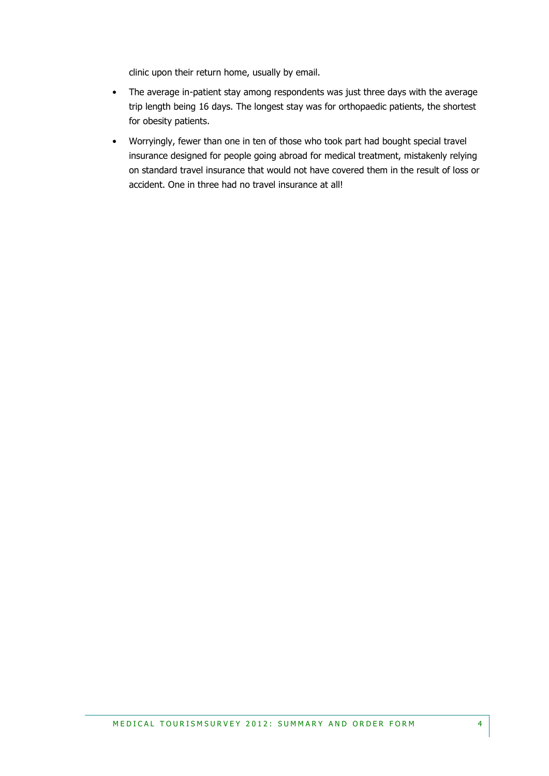clinic upon their return home, usually by email.

- The average in-patient stay among respondents was just three days with the average trip length being 16 days. The longest stay was for orthopaedic patients, the shortest for obesity patients.
- Worryingly, fewer than one in ten of those who took part had bought special travel insurance designed for people going abroad for medical treatment, mistakenly relying on standard travel insurance that would not have covered them in the result of loss or accident. One in three had no travel insurance at all!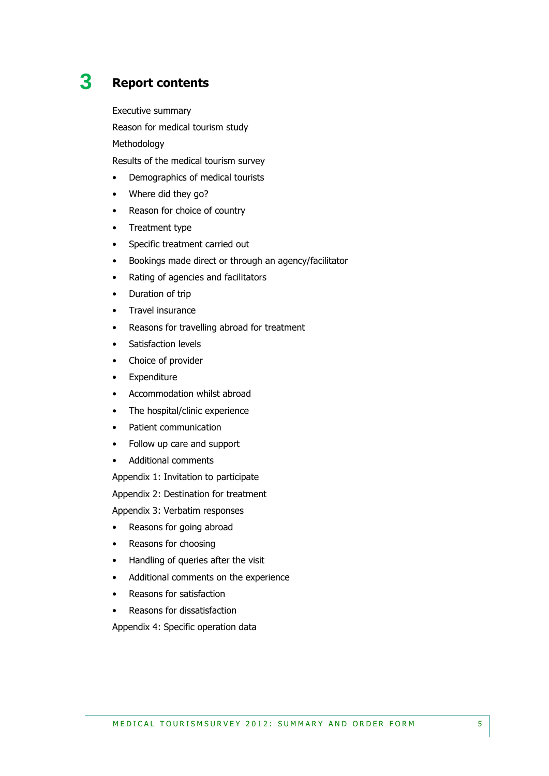## **3 Report contents**

Executive summary

Reason for medical tourism study

Methodology

Results of the medical tourism survey

- Demographics of medical tourists
- Where did they go?
- Reason for choice of country
- Treatment type
- Specific treatment carried out
- Bookings made direct or through an agency/facilitator
- Rating of agencies and facilitators
- Duration of trip
- Travel insurance
- Reasons for travelling abroad for treatment
- Satisfaction levels
- Choice of provider
- Expenditure
- Accommodation whilst abroad
- The hospital/clinic experience
- Patient communication
- Follow up care and support
- Additional comments

Appendix 1: Invitation to participate

Appendix 2: Destination for treatment

Appendix 3: Verbatim responses

- Reasons for going abroad
- Reasons for choosing
- Handling of queries after the visit
- Additional comments on the experience
- Reasons for satisfaction
- Reasons for dissatisfaction

Appendix 4: Specific operation data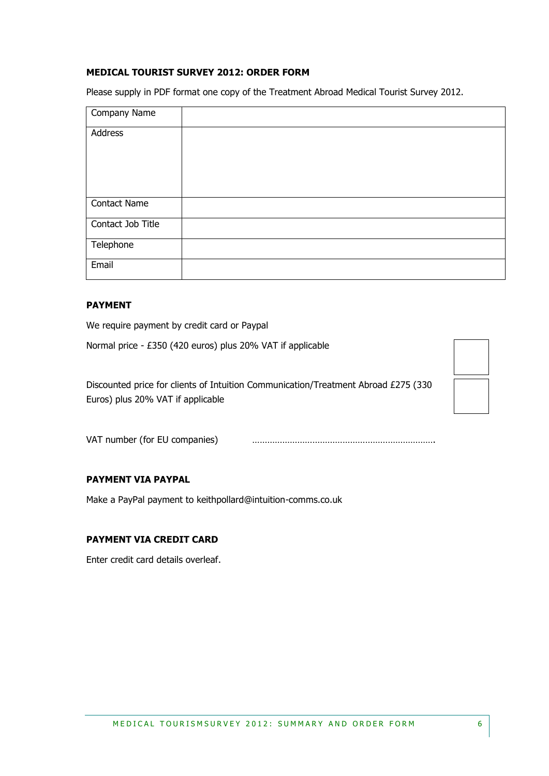#### **MEDICAL TOURIST SURVEY 2012: ORDER FORM**

Please supply in PDF format one copy of the Treatment Abroad Medical Tourist Survey 2012.

| Company Name        |  |
|---------------------|--|
| Address             |  |
|                     |  |
|                     |  |
|                     |  |
| <b>Contact Name</b> |  |
| Contact Job Title   |  |
| Telephone           |  |
| Email               |  |

#### **PAYMENT**

We require payment by credit card or Paypal

Normal price - £350 (420 euros) plus 20% VAT if applicable

Discounted price for clients of Intuition Communication/Treatment Abroad £275 (330 Euros) plus 20% VAT if applicable



VAT number (for EU companies) ……………………………………………………………….

#### **PAYMENT VIA PAYPAL**

Make a PayPal payment to keithpollard@intuition-comms.co.uk

#### **PAYMENT VIA CREDIT CARD**

Enter credit card details overleaf.